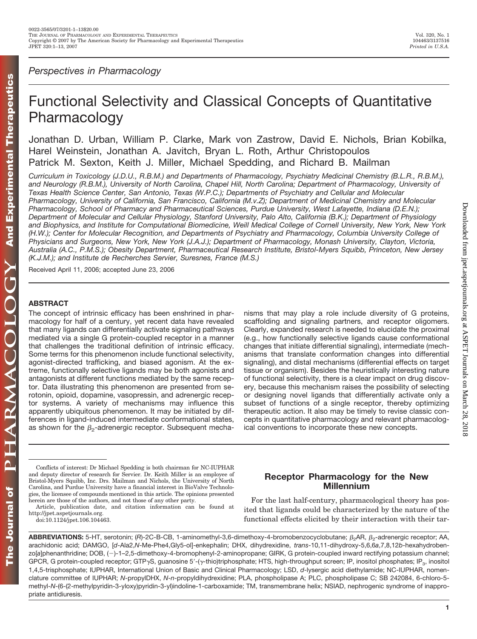# Functional Selectivity and Classical Concepts of Quantitative Pharmacology

Jonathan D. Urban, William P. Clarke, Mark von Zastrow, David E. Nichols, Brian Kobilka, Harel Weinstein, Jonathan A. Javitch, Bryan L. Roth, Arthur Christopoulos Patrick M. Sexton, Keith J. Miller, Michael Spedding, and Richard B. Mailman

*Curriculum in Toxicology (J.D.U., R.B.M.) and Departments of Pharmacology, Psychiatry Medicinal Chemistry (B.L.R., R.B.M.), and Neurology (R.B.M.), University of North Carolina, Chapel Hill, North Carolina; Department of Pharmacology, University of Texas Health Science Center, San Antonio, Texas (W.P.C.); Departments of Psychiatry and Cellular and Molecular Pharmacology, University of California, San Francisco, California (M.v.Z); Department of Medicinal Chemistry and Molecular Pharmacology, School of Pharmacy and Pharmaceutical Sciences, Purdue University, West Lafayette, Indiana (D.E.N.); Department of Molecular and Cellular Physiology, Stanford University, Palo Alto, California (B.K.); Department of Physiology and Biophysics, and Institute for Computational Biomedicine, Weill Medical College of Cornell University, New York, New York (H.W.); Center for Molecular Recognition, and Departments of Psychiatry and Pharmacology, Columbia University College of Physicians and Surgeons, New York, New York (J.A.J.); Department of Pharmacology, Monash University, Clayton, Victoria, Australia (A.C., P.M.S.); Obesity Department, Pharmaceutical Research Institute, Bristol-Myers Squibb, Princeton, New Jersey (K.J.M.); and Institute de Recherches Servier, Suresnes, France (M.S.)*

Received April 11, 2006; accepted June 23, 2006

#### **ABSTRACT**

The concept of intrinsic efficacy has been enshrined in pharmacology for half of a century, yet recent data have revealed that many ligands can differentially activate signaling pathways mediated via a single G protein-coupled receptor in a manner that challenges the traditional definition of intrinsic efficacy. Some terms for this phenomenon include functional selectivity, agonist-directed trafficking, and biased agonism. At the extreme, functionally selective ligands may be both agonists and antagonists at different functions mediated by the same receptor. Data illustrating this phenomenon are presented from serotonin, opioid, dopamine, vasopressin, and adrenergic receptor systems. A variety of mechanisms may influence this apparently ubiquitous phenomenon. It may be initiated by differences in ligand-induced intermediate conformational states, as shown for the  $\beta_2$ -adrenergic receptor. Subsequent mechanisms that may play a role include diversity of G proteins, scaffolding and signaling partners, and receptor oligomers. Clearly, expanded research is needed to elucidate the proximal (e.g., how functionally selective ligands cause conformational changes that initiate differential signaling), intermediate (mechanisms that translate conformation changes into differential signaling), and distal mechanisms (differential effects on target tissue or organism). Besides the heuristically interesting nature of functional selectivity, there is a clear impact on drug discovery, because this mechanism raises the possibility of selecting or designing novel ligands that differentially activate only a subset of functions of a single receptor, thereby optimizing therapeutic action. It also may be timely to revise classic concepts in quantitative pharmacology and relevant pharmacological conventions to incorporate these new concepts.

## **Receptor Pharmacology for the New Millennium**

For the last half-century, pharmacological theory has posited that ligands could be characterized by the nature of the functional effects elicited by their interaction with their tar-

Conflicts of interest: Dr Michael Spedding is both chairman for NC-IUPHAR and deputy director of research for Servier. Dr. Keith Miller is an employee of Bristol-Myers Squibb, Inc. Drs. Mailman and Nichols, the University of North Carolina, and Purdue University have a financial interest in BioValve Technologies, the licensee of compounds mentioned in this article. The opinions presented herein are those of the authors, and not those of any other party.

Article, publication date, and citation information can be found at http://jpet.aspetjournals.org.

doi:10.1124/jpet.106.104463.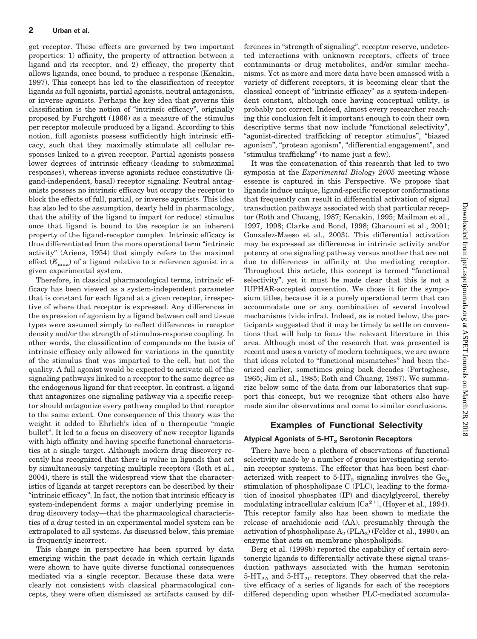get receptor. These effects are governed by two important properties: 1) affinity, the property of attraction between a ligand and its receptor, and 2) efficacy, the property that allows ligands, once bound, to produce a response (Kenakin, 1997). This concept has led to the classification of receptor ligands as full agonists, partial agonists, neutral antagonists, or inverse agonists. Perhaps the key idea that governs this classification is the notion of "intrinsic efficacy", originally proposed by Furchgott (1966) as a measure of the stimulus per receptor molecule produced by a ligand. According to this notion, full agonists possess sufficiently high intrinsic efficacy, such that they maximally stimulate all cellular responses linked to a given receptor. Partial agonists possess lower degrees of intrinsic efficacy (leading to submaximal responses), whereas inverse agonists reduce constitutive (ligand-independent, basal) receptor signaling. Neutral antagonists possess no intrinsic efficacy but occupy the receptor to block the effects of full, partial, or inverse agonists. This idea has also led to the assumption, dearly held in pharmacology, that the ability of the ligand to impart (or reduce) stimulus once that ligand is bound to the receptor is an inherent property of the ligand-receptor complex. Intrinsic efficacy is thus differentiated from the more operational term "intrinsic activity" (Ariens, 1954) that simply refers to the maximal effect  $(E_{\text{max}})$  of a ligand relative to a reference agonist in a given experimental system.

Therefore, in classical pharmacological terms, intrinsic efficacy has been viewed as a system-independent parameter that is constant for each ligand at a given receptor, irrespective of where that receptor is expressed. Any differences in the expression of agonism by a ligand between cell and tissue types were assumed simply to reflect differences in receptor density and/or the strength of stimulus-response coupling. In other words, the classification of compounds on the basis of intrinsic efficacy only allowed for variations in the quantity of the stimulus that was imparted to the cell, but not the quality. A full agonist would be expected to activate all of the signaling pathways linked to a receptor to the same degree as the endogenous ligand for that receptor. In contrast, a ligand that antagonizes one signaling pathway via a specific receptor should antagonize every pathway coupled to that receptor to the same extent. One consequence of this theory was the weight it added to Ehrlich's idea of a therapeutic "magic bullet". It led to a focus on discovery of new receptor ligands with high affinity and having specific functional characteristics at a single target. Although modern drug discovery recently has recognized that there is value in ligands that act by simultaneously targeting multiple receptors (Roth et al., 2004), there is still the widespread view that the characteristics of ligands at target receptors can be described by their "intrinsic efficacy". In fact, the notion that intrinsic efficacy is system-independent forms a major underlying premise in drug discovery today—that the pharmacological characteristics of a drug tested in an experimental model system can be extrapolated to all systems. As discussed below, this premise is frequently incorrect.

This change in perspective has been spurred by data emerging within the past decade in which certain ligands were shown to have quite diverse functional consequences mediated via a single receptor. Because these data were clearly not consistent with classical pharmacological concepts, they were often dismissed as artifacts caused by dif-

ferences in "strength of signaling", receptor reserve, undetected interactions with unknown receptors, effects of trace contaminants or drug metabolites, and/or similar mechanisms. Yet as more and more data have been amassed with a variety of different receptors, it is becoming clear that the classical concept of "intrinsic efficacy" as a system-independent constant, although once having conceptual utility, is probably not correct. Indeed, almost every researcher reaching this conclusion felt it important enough to coin their own descriptive terms that now include "functional selectivity", "agonist-directed trafficking of receptor stimulus", "biased agonism", "protean agonism", "differential engagement", and "stimulus trafficking" (to name just a few).

It was the concatenation of this research that led to two symposia at the *Experimental Biology 2005* meeting whose essence is captured in this Perspective. We propose that ligands induce unique, ligand-specific receptor conformations that frequently can result in differential activation of signal transduction pathways associated with that particular receptor (Roth and Chuang, 1987; Kenakin, 1995; Mailman et al., 1997, 1998; Clarke and Bond, 1998; Ghanouni et al., 2001; Gonzalez-Maeso et al., 2003). This differential activation may be expressed as differences in intrinsic activity and/or potency at one signaling pathway versus another that are not due to differences in affinity at the mediating receptor. Throughout this article, this concept is termed "functional selectivity", yet it must be made clear that this is not a IUPHAR-accepted convention. We chose it for the symposium titles, because it is a purely operational term that can accommodate one or any combination of several involved mechanisms (vide infra). Indeed, as is noted below, the participants suggested that it may be timely to settle on conventions that will help to focus the relevant literature in this area. Although most of the research that was presented is recent and uses a variety of modern techniques, we are aware that ideas related to "functional mismatches" had been theorized earlier, sometimes going back decades (Portoghese, 1965; Jim et al., 1985; Roth and Chuang, 1987). We summarize below some of the data from our laboratories that support this concept, but we recognize that others also have made similar observations and come to similar conclusions.

## **Examples of Functional Selectivity**

#### Atypical Agonists of 5-HT<sub>2</sub> Serotonin Receptors

There have been a plethora of observations of functional selectivity made by a number of groups investigating serotonin receptor systems. The effector that has been best characterized with respect to 5-HT<sub>2</sub> signaling involves the  $Ga_{\alpha}$ stimulation of phospholipase C (PLC), leading to the formation of inositol phosphates (IP) and diacylglycerol, thereby modulating intracellular calcium  $[Ca^{2+}]$ <sub>i</sub> (Hoyer et al., 1994). This receptor family also has been shown to mediate the release of arachidonic acid (AA), presumably through the activation of phospholipase  $A_2$  (PLA<sub>2</sub>) (Felder et al., 1990), an enzyme that acts on membrane phospholipids.

Berg et al. (1998b) reported the capability of certain serotonergic ligands to differentially activate these signal transduction pathways associated with the human serotonin  $5-\text{HT}_{24}$  and  $5-\text{HT}_{2}$  receptors. They observed that the relative efficacy of a series of ligands for each of the receptors differed depending upon whether PLC-mediated accumula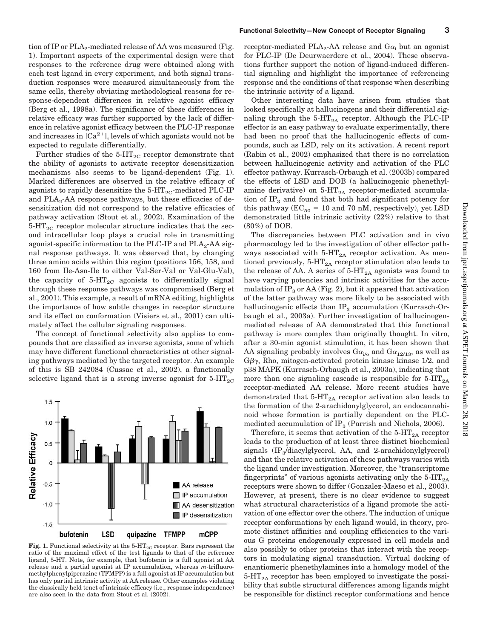tion of IP or  $PLA_2$ -mediated release of AA was measured (Fig. 1). Important aspects of the experimental design were that responses to the reference drug were obtained along with each test ligand in every experiment, and both signal transduction responses were measured simultaneously from the same cells, thereby obviating methodological reasons for response-dependent differences in relative agonist efficacy (Berg et al., 1998a). The significance of these differences in relative efficacy was further supported by the lack of difference in relative agonist efficacy between the PLC-IP response and increases in  $[Ca^{2+}]$ <sub>i</sub> levels of which agonists would not be expected to regulate differentially.

Further studies of the  $5-HT_{2C}$  receptor demonstrate that the ability of agonists to activate receptor desensitization mechanisms also seems to be ligand-dependent (Fig. 1). Marked differences are observed in the relative efficacy of agonists to rapidly desensitize the  $5-HT_{2C}$ -mediated PLC-IP and  $PLA<sub>2</sub>$ -AA response pathways, but these efficacies of desensitization did not correspond to the relative efficacies of pathway activation (Stout et al., 2002). Examination of the  $5-\text{HT}_{2C}$  receptor molecular structure indicates that the second intracellular loop plays a crucial role in transmitting agonist-specific information to the PLC-IP and  $PLA<sub>2</sub>-AA$  signal response pathways. It was observed that, by changing three amino acids within this region (positions 156, 158, and 160 from Ile-Asn-Ile to either Val-Ser-Val or Val-Glu-Val), the capacity of  $5-HT_{2C}$  agonists to differentially signal through these response pathways was compromised (Berg et al., 2001). This example, a result of mRNA editing, highlights the importance of how subtle changes in receptor structure and its effect on conformation (Visiers et al., 2001) can ultimately affect the cellular signaling responses.

The concept of functional selectivity also applies to compounds that are classified as inverse agonists, some of which may have different functional characteristics at other signaling pathways mediated by the targeted receptor. An example of this is SB 242084 (Cussac et al., 2002), a functionally selective ligand that is a strong inverse agonist for  $5-HT_{2C}$ 



Fig. 1. Functional selectivity at the  $5-\text{HT}_{2C}$  receptor. Bars represent the ratio of the maximal effect of the test ligands to that of the reference ligand, 5-HT. Note, for example, that bufotenin is a full agonist at AA release and a partial agonist at IP accumulation, whereas *m*-trifluoromethylphenylpiperazine (TFMPP) is a full agonist at IP accumulation but has only partial intrinsic activity at AA release. Other examples violating the classically held tenet of intrinsic efficacy (i.e., response independence) are also seen in the data from Stout et al. (2002).

receptor-mediated PLA<sub>2</sub>-AA release and  $Ga_i$  but an agonist for PLC-IP (De Deurwaerdere et al., 2004). These observations further support the notion of ligand-induced differential signaling and highlight the importance of referencing response and the conditions of that response when describing the intrinsic activity of a ligand.

Other interesting data have arisen from studies that looked specifically at hallucinogens and their differential signaling through the  $5-HT_{2A}$  receptor. Although the PLC-IP effector is an easy pathway to evaluate experimentally, there had been no proof that the hallucinogenic effects of compounds, such as LSD, rely on its activation. A recent report (Rabin et al., 2002) emphasized that there is no correlation between hallucinogenic activity and activation of the PLC effector pathway. Kurrasch-Orbaugh et al. (2003b) compared the effects of LSD and DOB (a hallucinogenic phenethylamine derivative) on  $5-HT_{2A}$  receptor-mediated accumulation of  $IP_3$  and found that both had significant potency for this pathway ( $EC_{50} = 10$  and 70 nM, respectively), yet LSD demonstrated little intrinsic activity (22%) relative to that (80%) of DOB.

The discrepancies between PLC activation and in vivo pharmacology led to the investigation of other effector pathways associated with  $5-HT_{2A}$  receptor activation. As mentioned previously,  $5-HT_{2A}$  receptor stimulation also leads to the release of AA. A series of  $5-HT_{2A}$  agonists was found to have varying potencies and intrinsic activities for the accumulation of  $IP_3$  or AA (Fig. 2), but it appeared that activation of the latter pathway was more likely to be associated with hallucinogenic effects than  $IP_3$  accumulation (Kurrasch-Orbaugh et al., 2003a). Further investigation of hallucinogenmediated release of AA demonstrated that this functional pathway is more complex than originally thought. In vitro, after a 30-min agonist stimulation, it has been shown that AA signaling probably involves  $G\alpha_{i\prime o}$  and  $G\alpha_{12/13}$ , as well as G $\beta\gamma$ , Rho, mitogen-activated protein kinase kinase 1/2, and p38 MAPK (Kurrasch-Orbaugh et al., 2003a), indicating that more than one signaling cascade is responsible for  $5-HT_{2A}$ receptor-mediated AA release. More recent studies have demonstrated that  $5-HT_{2A}$  receptor activation also leads to the formation of the 2-arachidonylglycerol, an endocannabinoid whose formation is partially dependent on the PLCmediated accumulation of  $IP_3$  (Parrish and Nichols, 2006).

Therefore, it seems that activation of the  $5-HT_{2A}$  receptor leads to the production of at least three distinct biochemical signals  $(IP_3/diacylglycerol, AA, and 2-arachidonylglycerol)$ and that the relative activation of these pathways varies with the ligand under investigation. Moreover, the "transcriptome fingerprints" of various agonists activating only the  $5-HT_{2A}$ receptors were shown to differ (Gonzalez-Maeso et al., 2003). However, at present, there is no clear evidence to suggest what structural characteristics of a ligand promote the activation of one effector over the others. The induction of unique receptor conformations by each ligand would, in theory, promote distinct affinities and coupling efficiencies to the various G proteins endogenously expressed in cell models and also possibly to other proteins that interact with the receptors in modulating signal transduction. Virtual docking of enantiomeric phenethylamines into a homology model of the  $5-\text{HT}_{24}$  receptor has been employed to investigate the possibility that subtle structural differences among ligands might be responsible for distinct receptor conformations and hence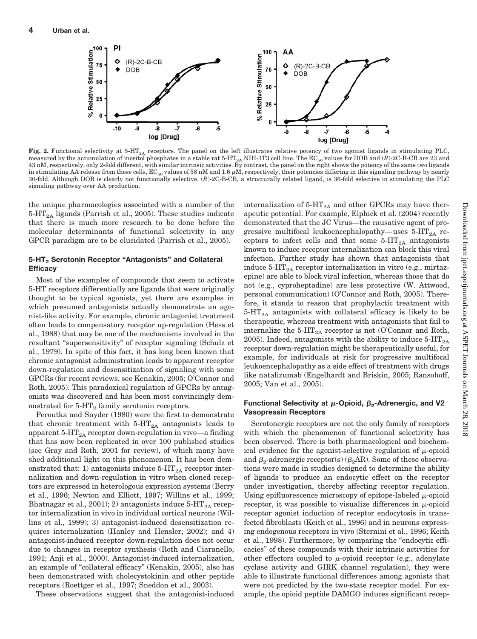

Fig. 2. Functional selectivity at 5-HT<sub>2A</sub> receptors. The panel on the left illustrates relative potency of two agonist ligands in stimulating PLC, measured by the accumulation of inositol phosphates in a stable rat 5-HT<sub>2A</sub> NIH-3T3 cell line. The EC<sub>50</sub> values for DOB and  $(R)$ -2C-B-CB are 23 and 43 nM, respectively, only 2-fold different, with similar intrinsic activities. By contrast, the panel on the right shows the potency of the same two ligands in stimulating AA release from these cells,  $EC_{50}$  values of 58 nM and 1.6  $\mu$ M, respectively, their potencies differing in this signaling pathway by nearly 30-fold. Although DOB is clearly not functionally selective, (*R*)-2C-B-CB, a structurally related ligand, is 36-fold selective in stimulating the PLC signaling pathway over AA production.

the unique pharmacologies associated with a number of the  $5-\text{HT}_{2\text{A}}$  ligands (Parrish et al., 2005). These studies indicate that there is much more research to be done before the molecular determinants of functional selectivity in any GPCR paradigm are to be elucidated (Parrish et al., 2005).

## **5-HT2 Serotonin Receptor "Antagonists" and Collateral Efficacy**

Most of the examples of compounds that seem to activate 5-HT receptors differentially are ligands that were originally thought to be typical agonists, yet there are examples in which presumed antagonists actually demonstrate an agonist-like activity. For example, chronic antagonist treatment often leads to compensatory receptor up-regulation (Hess et al., 1988) that may be one of the mechanisms involved in the resultant "supersensitivity" of receptor signaling (Schulz et al., 1979). In spite of this fact, it has long been known that chronic antagonist administration leads to apparent receptor down-regulation and desensitization of signaling with some GPCRs (for recent reviews, see Kenakin, 2005; O'Connor and Roth, 2005). This paradoxical regulation of GPCRs by antagonists was discovered and has been most convincingly demonstrated for  $5-HT<sub>2</sub>$  family serotonin receptors.

Peroutka and Snyder (1980) were the first to demonstrate that chronic treatment with  $5-HT_{2A}$  antagonists leads to apparent  $5-HT_{2A}$  receptor down-regulation in vivo—a finding that has now been replicated in over 100 published studies (see Gray and Roth, 2001 for review), of which many have shed additional light on this phenomenon. It has been demonstrated that: 1) antagonists induce  $5-HT_{2A}$  receptor internalization and down-regulation in vitro when cloned receptors are expressed in heterologous expression systems (Berry et al., 1996; Newton and Elliott, 1997; Willins et al., 1999; Bhatnagar et al., 2001); 2) antagonists induce  $5-HT_{2A}$  receptor internalization in vivo in individual cortical neurons (Willins et al., 1999); 3) antagonist-induced desensitization requires internalization (Hanley and Hensler, 2002); and 4) antagonist-induced receptor down-regulation does not occur due to changes in receptor synthesis (Roth and Ciaranello, 1991; Anji et al., 2000). Antagonist-induced internalization, an example of "collateral efficacy" (Kenakin, 2005), also has been demonstrated with cholecystokinin and other peptide receptors (Roettger et al., 1997; Sneddon et al., 2003).

These observations suggest that the antagonist-induced

internalization of  $5-HT_{2A}$  and other GPCRs may have therapeutic potential. For example, Elphick et al. (2004) recently demonstrated that the JC Virus—the causative agent of progressive multifocal leukoencephalopathy—uses  $5-HT_{2A}$  receptors to infect cells and that some  $5-HT_{2A}$  antagonists known to induce receptor internalization can block this viral infection. Further study has shown that antagonists that induce  $5-HT_{2A}$  receptor internalization in vitro (e.g., mirtazepine) are able to block viral infection, whereas those that do not (e.g., cyproheptadine) are less protective (W. Attwood, personal communication) (O'Connor and Roth, 2005). Therefore, it stands to reason that prophylactic treatment with  $5-\text{HT}_{2A}$  antagonists with collateral efficacy is likely to be therapeutic, whereas treatment with antagonists that fail to internalize the 5-HT<sub>2A</sub> receptor is not (O'Connor and Roth, 2005). Indeed, antagonists with the ability to induce  $5-HT_{2A}$ receptor down-regulation might be therapeutically useful, for example, for individuals at risk for progressive multifocal leukoencephalopathy as a side effect of treatment with drugs like natalizumab (Engelhardt and Briskin, 2005; Ransohoff, 2005; Van et al., 2005).

#### Functional Selectivity at  $\mu$ -Opioid,  $\beta_2$ -Adrenergic, and V2 **Vasopressin Receptors**

Serotonergic receptors are not the only family of receptors with which the phenomenon of functional selectivity has been observed. There is both pharmacological and biochemical evidence for the agonist-selective regulation of  $\mu$ -opioid and  $\beta_2$ -adrenergic receptor(s) ( $\beta_2$ AR). Some of these observations were made in studies designed to determine the ability of ligands to produce an endocytic effect on the receptor under investigation, thereby affecting receptor regulation. Using epifluorescence microscopy of epitope-labeled  $\mu$ -opioid receptor, it was possible to visualize differences in  $\mu$ -opioid receptor agonist induction of receptor endocytosis in transfected fibroblasts (Keith et al., 1996) and in neurons expressing endogenous receptors in vivo (Sternini et al., 1996; Keith et al., 1998). Furthermore, by comparing the "endocytic efficacies" of these compounds with their intrinsic activities for other effectors coupled to  $\mu$ -opioid receptor (e.g., adenylate cyclase activity and GIRK channel regulation), they were able to illustrate functional differences among agonists that were not predicted by the two-state receptor model. For example, the opioid peptide DAMGO induces significant recep-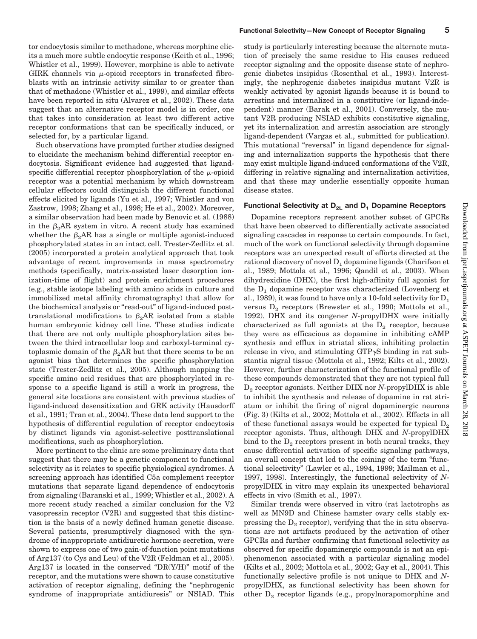tor endocytosis similar to methadone, whereas morphine elicits a much more subtle endocytic response (Keith et al., 1996; Whistler et al., 1999). However, morphine is able to activate GIRK channels via  $\mu$ -opioid receptors in transfected fibroblasts with an intrinsic activity similar to or greater than that of methadone (Whistler et al., 1999), and similar effects have been reported in situ (Alvarez et al., 2002). These data suggest that an alternative receptor model is in order, one that takes into consideration at least two different active receptor conformations that can be specifically induced, or selected for, by a particular ligand.

Such observations have prompted further studies designed to elucidate the mechanism behind differential receptor endocytosis. Significant evidence had suggested that ligandspecific differential receptor phosphorylation of the  $\mu$ -opioid receptor was a potential mechanism by which downstream cellular effectors could distinguish the different functional effects elicited by ligands (Yu et al., 1997; Whistler and von Zastrow, 1998; Zhang et al., 1998; He et al., 2002). Moreover, a similar observation had been made by Benovic et al. (1988) in the  $\beta_2AR$  system in vitro. A recent study has examined whether the  $\beta_2$ AR has a single or multiple agonist-induced phosphorylated states in an intact cell. Trester-Zedlitz et al. (2005) incorporated a protein analytical approach that took advantage of recent improvements in mass spectrometry methods (specifically, matrix-assisted laser desorption ionization-time of flight) and protein enrichment procedures (e.g., stable isotope labeling with amino acids in culture and immobilized metal affinity chromatography) that allow for the biochemical analysis or "read-out" of ligand-induced posttranslational modifications to  $\beta_2$ AR isolated from a stable human embryonic kidney cell line. These studies indicate that there are not only multiple phosphorylation sites between the third intracellular loop and carboxyl-terminal cytoplasmic domain of the  $\beta_2$ AR but that there seems to be an agonist bias that determines the specific phosphorylation state (Trester-Zedlitz et al., 2005). Although mapping the specific amino acid residues that are phosphorylated in response to a specific ligand is still a work in progress, the general site locations are consistent with previous studies of ligand-induced desensitization and GRK activity (Hausdorff et al., 1991; Tran et al., 2004). These data lend support to the hypothesis of differential regulation of receptor endocytosis by distinct ligands via agonist-selective posttranslational modifications, such as phosphorylation.

More pertinent to the clinic are some preliminary data that suggest that there may be a genetic component to functional selectivity as it relates to specific physiological syndromes. A screening approach has identified C5a complement receptor mutations that separate ligand dependence of endocytosis from signaling (Baranski et al., 1999; Whistler et al., 2002). A more recent study reached a similar conclusion for the V2 vasopressin receptor (V2R) and suggested that this distinction is the basis of a newly defined human genetic disease. Several patients, presumptively diagnosed with the syndrome of inappropriate antidiuretic hormone secretion, were shown to express one of two gain-of-function point mutations of Arg137 (to Cys and Leu) of the V2R (Feldman et al., 2005). Arg137 is located in the conserved "DR(Y/H)" motif of the receptor, and the mutations were shown to cause constitutive activation of receptor signaling, defining the "nephrogenic syndrome of inappropriate antidiuresis" or NSIAD. This

study is particularly interesting because the alternate mutation of precisely the same residue to His causes reduced receptor signaling and the opposite disease state of nephrogenic diabetes insipidus (Rosenthal et al., 1993). Interestingly, the nephrogenic diabetes insipidus mutant V2R is weakly activated by agonist ligands because it is bound to arrestins and internalized in a constitutive (or ligand-independent) manner (Barak et al., 2001). Conversely, the mutant V2R producing NSIAD exhibits constitutive signaling, yet its internalization and arrestin association are strongly ligand-dependent (Vargas et al., submitted for publication). This mutational "reversal" in ligand dependence for signaling and internalization supports the hypothesis that there may exist multiple ligand-induced conformations of the V2R, differing in relative signaling and internalization activities, and that these may underlie essentially opposite human disease states.

#### **Functional Selectivity at D<sub>2L</sub> and D<sub>1</sub> Dopamine Receptors**

Dopamine receptors represent another subset of GPCRs that have been observed to differentially activate associated signaling cascades in response to certain compounds. In fact, much of the work on functional selectivity through dopamine receptors was an unexpected result of efforts directed at the rational discovery of novel  $D_1$  dopamine ligands (Charifson et al., 1989; Mottola et al., 1996; Qandil et al., 2003). When dihydrexidine (DHX), the first high-affinity full agonist for the  $D_1$  dopamine receptor was characterized (Lovenberg et al., 1989), it was found to have only a 10-fold selectivity for  $D_1$ versus  $D_2$  receptors (Brewster et al., 1990; Mottola et al., 1992). DHX and its congener *N*-propylDHX were initially characterized as full agonists at the  $D_2$  receptor, because they were as efficacious as dopamine in inhibiting cAMP synthesis and efflux in striatal slices, inhibiting prolactin release in vivo, and stimulating GTP $\gamma$ S binding in rat substantia nigral tissue (Mottola et al., 1992; Kilts et al., 2002). However, further characterization of the functional profile of these compounds demonstrated that they are not typical full D2 receptor agonists. Neither DHX nor *N*-propylDHX is able to inhibit the synthesis and release of dopamine in rat striatum or inhibit the firing of nigral dopaminergic neurons (Fig. 3) (Kilts et al., 2002; Mottola et al., 2002). Effects in all of these functional assays would be expected for typical  $D<sub>2</sub>$ receptor agonists. Thus, although DHX and *N*-propylDHX bind to the  $D_2$  receptors present in both neural tracks, they cause differential activation of specific signaling pathways, an overall concept that led to the coining of the term "functional selectivity" (Lawler et al., 1994, 1999; Mailman et al., 1997, 1998). Interestingly, the functional selectivity of *N*propylDHX in vitro may explain its unexpected behavioral effects in vivo (Smith et al., 1997).

Similar trends were observed in vitro (rat lactotrophs as well as MN9D and Chinese hamster ovary cells stably expressing the  $D<sub>2</sub>$  receptor), verifying that the in situ observations are not artifacts produced by the activation of other GPCRs and further confirming that functional selectivity as observed for specific dopaminergic compounds is not an epiphenomenon associated with a particular signaling model (Kilts et al., 2002; Mottola et al., 2002; Gay et al., 2004). This functionally selective profile is not unique to DHX and *N*propylDHX, as functional selectivity has been shown for other  $D_2$  receptor ligands (e.g., propylnorapomorphine and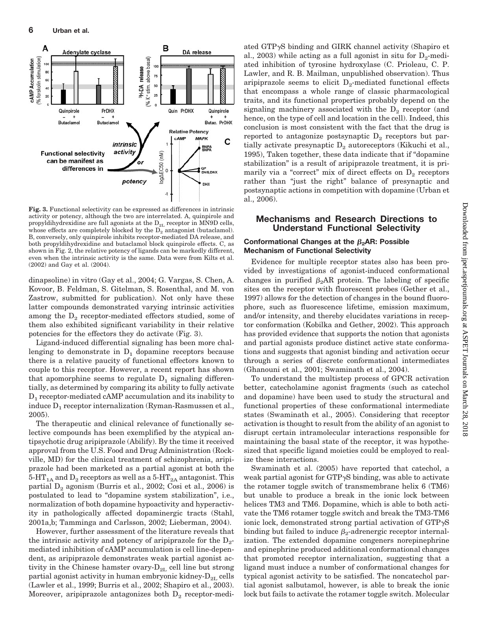

**Fig. 3.** Functional selectivity can be expressed as differences in intrinsic activity or potency, although the two are interrelated. A, quinpirole and propyldihydrexidine are full agonists at the  $\mathcal{D}_{2\text{L}}$  receptor in MN9D cells, whose effects are completely blocked by the  $D<sub>2</sub>$  antagonist (butaclamol). B, conversely, only quinpirole inhibits receptor-mediated DA release, and both propyldihydrexidine and butaclamol block quinpirole effects. C, as shown in Fig. 2, the relative potency of ligands can be markedly different, even when the intrinsic activity is the same. Data were from Kilts et al. (2002) and Gay et al. (2004).

dinapsoline) in vitro (Gay et al., 2004; G. Vargas, S. Chen, A. Kovoor, B. Feldman, S. Gitelman, S. Rosenthal, and M. von Zastrow, submitted for publication). Not only have these latter compounds demonstrated varying intrinsic activities among the  $D_2$  receptor-mediated effectors studied, some of them also exhibited significant variability in their relative potencies for the effectors they do activate (Fig. 3).

Ligand-induced differential signaling has been more challenging to demonstrate in  $D_1$  dopamine receptors because there is a relative paucity of functional effectors known to couple to this receptor. However, a recent report has shown that apomorphine seems to regulate  $D_1$  signaling differentially, as determined by comparing its ability to fully activate  $D_1$  receptor-mediated cAMP accumulation and its inability to induce  $D_1$  receptor internalization (Ryman-Rasmussen et al., 2005).

The therapeutic and clinical relevance of functionally selective compounds has been exemplified by the atypical antipsychotic drug aripiprazole (Abilify). By the time it received approval from the U.S. Food and Drug Administration (Rockville, MD) for the clinical treatment of schizophrenia, aripiprazole had been marketed as a partial agonist at both the  $5-\text{HT}_{1\text{A}}$  and  $\text{D}_2$  receptors as well as a  $5-\text{HT}_{2\text{A}}$  antagonist. This partial  $D_2$  agonism (Burris et al., 2002; Cosi et al., 2006) is postulated to lead to "dopamine system stabilization", i.e., normalization of both dopamine hypoactivity and hyperactivity in pathologically affected dopaminergic tracts (Stahl, 2001a,b; Tamminga and Carlsson, 2002; Lieberman, 2004).

However, further assessment of the literature reveals that the intrinsic activity and potency of aripiprazole for the  $D_2$ mediated inhibition of cAMP accumulation is cell line-dependent, as aripiprazole demonstrates weak partial agonist activity in the Chinese hamster ovary- $D_{2L}$  cell line but strong partial agonist activity in human embryonic kidney- $D_{2L}$  cells (Lawler et al., 1999; Burris et al., 2002; Shapiro et al., 2003). Moreover, aripiprazole antagonizes both  $D_2$  receptor-medi-

ated GTP-S binding and GIRK channel activity (Shapiro et al., 2003) while acting as a full agonist in situ for  $D_2$ -mediated inhibition of tyrosine hydroxylase (C. Prioleau, C. P. Lawler, and R. B. Mailman, unpublished observation). Thus aripiprazole seems to elicit  $D_2$ -mediated functional effects that encompass a whole range of classic pharmacological traits, and its functional properties probably depend on the signaling machinery associated with the  $D_2$  receptor (and hence, on the type of cell and location in the cell). Indeed, this conclusion is most consistent with the fact that the drug is reported to antagonize postsynaptic  $D_2$  receptors but partially activate presynaptic  $D_2$  autoreceptors (Kikuchi et al., 1995), Taken together, these data indicate that if "dopamine stabilization" is a result of aripiprazole treatment, it is primarily via a "correct" mix of direct effects on  $D_2$  receptors rather than "just the right" balance of presynaptic and postsynaptic actions in competition with dopamine (Urban et al., 2006).

## **Mechanisms and Research Directions to Understand Functional Selectivity**

#### $\mathsf{Conformational}\nolimits$  Changes at the  $\beta_2$ AR: Possible **Mechanism of Functional Selectivity**

Evidence for multiple receptor states also has been provided by investigations of agonist-induced conformational changes in purified  $\beta_2$ AR protein. The labeling of specific sites on the receptor with fluorescent probes (Gether et al., 1997) allows for the detection of changes in the bound fluorophore, such as fluorescence lifetime, emission maximum, and/or intensity, and thereby elucidates variations in receptor conformation (Kobilka and Gether, 2002). This approach has provided evidence that supports the notion that agonists and partial agonists produce distinct active state conformations and suggests that agonist binding and activation occur through a series of discrete conformational intermediates (Ghanouni et al., 2001; Swaminath et al., 2004).

To understand the multistep process of GPCR activation better, catecholamine agonist fragments (such as catechol and dopamine) have been used to study the structural and functional properties of these conformational intermediate states (Swaminath et al., 2005). Considering that receptor activation is thought to result from the ability of an agonist to disrupt certain intramolecular interactions responsible for maintaining the basal state of the receptor, it was hypothesized that specific ligand moieties could be employed to realize these interactions.

Swaminath et al. (2005) have reported that catechol, a weak partial agonist for GTP $\gamma$ S binding, was able to activate the rotamer toggle switch of transmembrane helix 6 (TM6) but unable to produce a break in the ionic lock between helices TM3 and TM6. Dopamine, which is able to both activate the TM6 rotamer toggle switch and break the TM3-TM6 ionic lock, demonstrated strong partial activation of GTP $\gamma$ S binding but failed to induce  $\beta_2$ -adrenergic receptor internalization. The extended dopamine congeners norepinephrine and epinephrine produced additional conformational changes that promoted receptor internalization, suggesting that a ligand must induce a number of conformational changes for typical agonist activity to be satisfied. The noncatechol partial agonist salbutamol, however, is able to break the ionic lock but fails to activate the rotamer toggle switch. Molecular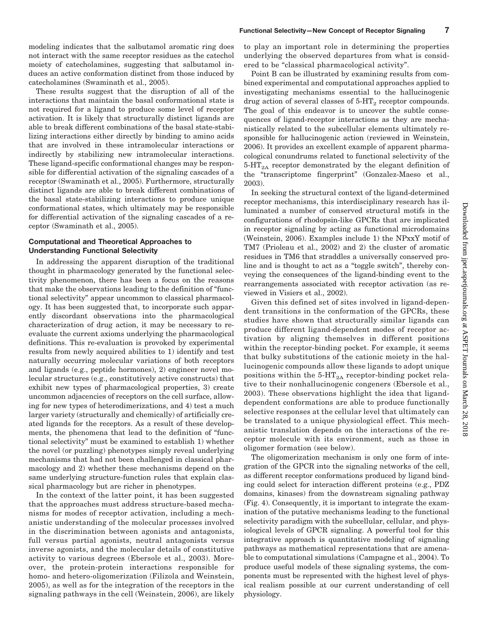modeling indicates that the salbutamol aromatic ring does not interact with the same receptor residues as the catechol moiety of catecholamines, suggesting that salbutamol induces an active conformation distinct from those induced by catecholamines (Swaminath et al., 2005).

These results suggest that the disruption of all of the interactions that maintain the basal conformational state is not required for a ligand to produce some level of receptor activation. It is likely that structurally distinct ligands are able to break different combinations of the basal state-stabilizing interactions either directly by binding to amino acids that are involved in these intramolecular interactions or indirectly by stabilizing new intramolecular interactions. These ligand-specific conformational changes may be responsible for differential activation of the signaling cascades of a receptor (Swaminath et al., 2005). Furthermore, structurally distinct ligands are able to break different combinations of the basal state-stabilizing interactions to produce unique conformational states, which ultimately may be responsible for differential activation of the signaling cascades of a receptor (Swaminath et al., 2005).

### **Computational and Theoretical Approaches to Understanding Functional Selectivity**

In addressing the apparent disruption of the traditional thought in pharmacology generated by the functional selectivity phenomenon, there has been a focus on the reasons that make the observations leading to the definition of "functional selectivity" appear uncommon to classical pharmacology. It has been suggested that, to incorporate such apparently discordant observations into the pharmacological characterization of drug action, it may be necessary to reevaluate the current axioms underlying the pharmacological definitions. This re-evaluation is provoked by experimental results from newly acquired abilities to 1) identify and test naturally occurring molecular variations of both receptors and ligands (e.g., peptide hormones), 2) engineer novel molecular structures (e.g., constitutively active constructs) that exhibit new types of pharmacological properties, 3) create uncommon adjacencies of receptors on the cell surface, allowing for new types of heterodimerizations, and 4) test a much larger variety (structurally and chemically) of artificially created ligands for the receptors. As a result of these developments, the phenomena that lead to the definition of "functional selectivity" must be examined to establish 1) whether the novel (or puzzling) phenotypes simply reveal underlying mechanisms that had not been challenged in classical pharmacology and 2) whether these mechanisms depend on the same underlying structure-function rules that explain classical pharmacology but are richer in phenotypes.

In the context of the latter point, it has been suggested that the approaches must address structure-based mechanisms for modes of receptor activation, including a mechanistic understanding of the molecular processes involved in the discrimination between agonists and antagonists, full versus partial agonists, neutral antagonists versus inverse agonists, and the molecular details of constitutive activity to various degrees (Ebersole et al., 2003). Moreover, the protein-protein interactions responsible for homo- and hetero-oligomerization (Filizola and Weinstein, 2005), as well as for the integration of the receptors in the signaling pathways in the cell (Weinstein, 2006), are likely to play an important role in determining the properties underlying the observed departures from what is considered to be "classical pharmacological activity".

Point B can be illustrated by examining results from combined experimental and computational approaches applied to investigating mechanisms essential to the hallucinogenic drug action of several classes of  $5-\text{HT}_2$  receptor compounds. The goal of this endeavor is to uncover the subtle consequences of ligand-receptor interactions as they are mechanistically related to the subcellular elements ultimately responsible for hallucinogenic action (reviewed in Weinstein, 2006). It provides an excellent example of apparent pharmacological conundrums related to functional selectivity of the  $5-HT<sub>2A</sub>$  receptor demonstrated by the elegant definition of the "transcriptome fingerprint" (Gonzalez-Maeso et al., 2003).

In seeking the structural context of the ligand-determined receptor mechanisms, this interdisciplinary research has illuminated a number of conserved structural motifs in the configurations of rhodopsin-like GPCRs that are implicated in receptor signaling by acting as functional microdomains (Weinstein, 2006). Examples include 1) the NPxxY motif of TM7 (Prioleau et al., 2002) and 2) the cluster of aromatic residues in TM6 that straddles a universally conserved proline and is thought to act as a "toggle switch", thereby conveying the consequences of the ligand-binding event to the rearrangements associated with receptor activation (as reviewed in Visiers et al., 2002).

Given this defined set of sites involved in ligand-dependent transitions in the conformation of the GPCRs, these studies have shown that structurally similar ligands can produce different ligand-dependent modes of receptor activation by aligning themselves in different positions within the receptor-binding pocket. For example, it seems that bulky substitutions of the cationic moiety in the hallucinogenic compounds allow these ligands to adopt unique positions within the  $5-HT_{2A}$  receptor-binding pocket relative to their nonhallucinogenic congeners (Ebersole et al., 2003). These observations highlight the idea that liganddependent conformations are able to produce functionally selective responses at the cellular level that ultimately can be translated to a unique physiological effect. This mechanistic translation depends on the interactions of the receptor molecule with its environment, such as those in oligomer formation (see below).

The oligomerization mechanism is only one form of integration of the GPCR into the signaling networks of the cell, as different receptor conformations produced by ligand binding could select for interaction different proteins (e.g., PDZ domains, kinases) from the downstream signaling pathway (Fig. 4). Consequently, it is important to integrate the examination of the putative mechanisms leading to the functional selectivity paradigm with the subcellular, cellular, and physiological levels of GPCR signaling. A powerful tool for this integrative approach is quantitative modeling of signaling pathways as mathematical representations that are amenable to computational simulations (Campagne et al., 2004). To produce useful models of these signaling systems, the components must be represented with the highest level of physical realism possible at our current understanding of cell physiology.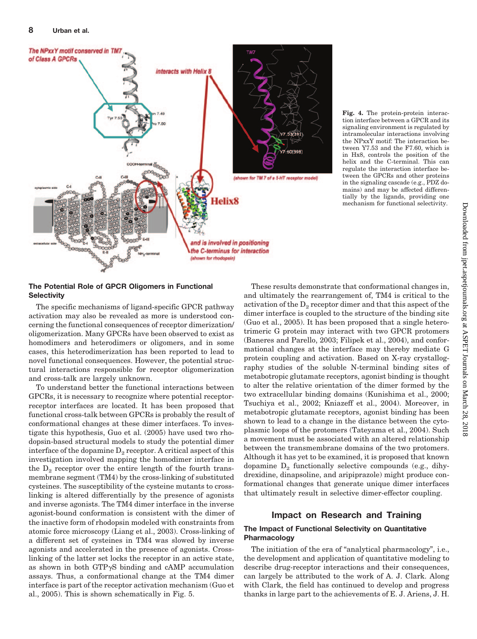

**Fig. 4.** The protein-protein interaction interface between a GPCR and its signaling environment is regulated by intramolecular interactions involving the NPxxY motif: The interaction between Y7.53 and the F7.60, which is in Hx8, controls the position of the helix and the C-terminal. This can regulate the interaction interface between the GPCRs and other proteins in the signaling cascade (e.g., PDZ domains) and may be affected differentially by the ligands, providing one mechanism for functional selectivity.

## **The Potential Role of GPCR Oligomers in Functional Selectivity**

The specific mechanisms of ligand-specific GPCR pathway activation may also be revealed as more is understood concerning the functional consequences of receptor dimerization/ oligomerization. Many GPCRs have been observed to exist as homodimers and heterodimers or oligomers, and in some cases, this heterodimerization has been reported to lead to novel functional consequences. However, the potential structural interactions responsible for receptor oligomerization and cross-talk are largely unknown.

To understand better the functional interactions between GPCRs, it is necessary to recognize where potential receptorreceptor interfaces are located. It has been proposed that functional cross-talk between GPCRs is probably the result of conformational changes at these dimer interfaces. To investigate this hypothesis, Guo et al. (2005) have used two rhodopsin-based structural models to study the potential dimer interface of the dopamine  $D_2$  receptor. A critical aspect of this investigation involved mapping the homodimer interface in the  $D<sub>2</sub>$  receptor over the entire length of the fourth transmembrane segment (TM4) by the cross-linking of substituted cysteines. The susceptibility of the cysteine mutants to crosslinking is altered differentially by the presence of agonists and inverse agonists. The TM4 dimer interface in the inverse agonist-bound conformation is consistent with the dimer of the inactive form of rhodopsin modeled with constraints from atomic force microscopy (Liang et al., 2003). Cross-linking of a different set of cysteines in TM4 was slowed by inverse agonists and accelerated in the presence of agonists. Crosslinking of the latter set locks the receptor in an active state, as shown in both GTP $\gamma$ S binding and cAMP accumulation assays. Thus, a conformational change at the TM4 dimer interface is part of the receptor activation mechanism (Guo et al., 2005). This is shown schematically in Fig. 5.

These results demonstrate that conformational changes in, and ultimately the rearrangement of, TM4 is critical to the activation of the  $D<sub>2</sub>$  receptor dimer and that this aspect of the dimer interface is coupled to the structure of the binding site (Guo et al., 2005). It has been proposed that a single heterotrimeric G protein may interact with two GPCR protomers (Baneres and Parello, 2003; Filipek et al., 2004), and conformational changes at the interface may thereby mediate G protein coupling and activation. Based on X-ray crystallography studies of the soluble N-terminal binding sites of metabotropic glutamate receptors, agonist binding is thought to alter the relative orientation of the dimer formed by the two extracellular binding domains (Kunishima et al., 2000; Tsuchiya et al., 2002; Kniazeff et al., 2004). Moreover, in metabotropic glutamate receptors, agonist binding has been shown to lead to a change in the distance between the cytoplasmic loops of the protomers (Tateyama et al., 2004). Such a movement must be associated with an altered relationship between the transmembrane domains of the two protomers. Although it has yet to be examined, it is proposed that known dopamine  $D_2$  functionally selective compounds (e.g., dihydrexidine, dinapsoline, and aripiprazole) might produce conformational changes that generate unique dimer interfaces that ultimately result in selective dimer-effector coupling.

## **Impact on Research and Training**

## **The Impact of Functional Selectivity on Quantitative Pharmacology**

The initiation of the era of "analytical pharmacology", i.e., the development and application of quantitative modeling to describe drug-receptor interactions and their consequences, can largely be attributed to the work of A. J. Clark. Along with Clark, the field has continued to develop and progress thanks in large part to the achievements of E. J. Ariens, J. H.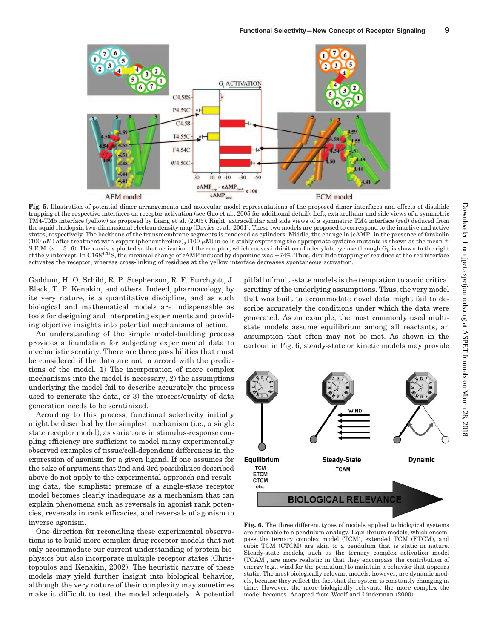

**Fig. 5.** Illustration of potential dimer arrangements and molecular model representations of the proposed dimer interfaces and effects of disulfide trapping of the respective interfaces on receptor activation (see Guo et al., 2005 for additional detail). Left, extracellular and side views of a symmetric TM4-TM5 interface (yellow) as proposed by Liang et al. (2003). Right, extracellular and side views of a symmetric TM4 interface (red) deduced from the squid rhodopsin two-dimensional electron density map (Davies et al., 2001). These two models are proposed to correspond to the inactive and active states, respectively. The backbone of the transmembrane segments is rendered as cylinders. Middle, the change in [cAMP] in the presence of forskolin (100  $\mu$ M) after treatment with copper (phenanthroline)<sub>2</sub> (100  $\mu$ M) in cells stably expressing the appropriate cysteine mutants is shown as the mean  $\pm$ S.E.M.  $(n = 3-6)$ . The *x*-axis is plotted so that activation of the receptor, which causes inhibition of adenylate cyclase through  $G_i$ , is shown to the right of the *y*-intercept. In C1684.58S, the maximal change of cAMP induced by dopamine was 74%. Thus, disulfide trapping of residues at the red interface activates the receptor, whereas cross-linking of residues at the yellow interface decreases spontaneous activation.

Gaddum, H. O. Schild, R. P. Stephenson, R. F. Furchgott, J. Black, T. P. Kenakin, and others. Indeed, pharmacology, by its very nature, is a quantitative discipline, and as such biological and mathematical models are indispensable as tools for designing and interpreting experiments and providing objective insights into potential mechanisms of action.

An understanding of the simple model-building process provides a foundation for subjecting experimental data to mechanistic scrutiny. There are three possibilities that must be considered if the data are not in accord with the predictions of the model. 1) The incorporation of more complex mechanisms into the model is necessary, 2) the assumptions underlying the model fail to describe accurately the process used to generate the data, or 3) the process/quality of data generation needs to be scrutinized.

According to this process, functional selectivity initially might be described by the simplest mechanism (i.e., a single state receptor model), as variations in stimulus-response coupling efficiency are sufficient to model many experimentally observed examples of tissue/cell-dependent differences in the expression of agonism for a given ligand. If one assumes for the sake of argument that 2nd and 3rd possibilities described above do not apply to the experimental approach and resulting data, the simplistic premise of a single-state receptor model becomes clearly inadequate as a mechanism that can explain phenomena such as reversals in agonist rank potencies, reversals in rank efficacies, and reversals of agonism to inverse agonism.

One direction for reconciling these experimental observations is to build more complex drug-receptor models that not only accommodate our current understanding of protein biophysics but also incorporate multiple receptor states (Christopoulos and Kenakin, 2002). The heuristic nature of these models may yield further insight into biological behavior, although the very nature of their complexity may sometimes make it difficult to test the model adequately. A potential

pitfall of multi-state models is the temptation to avoid critical scrutiny of the underlying assumptions. Thus, the very model that was built to accommodate novel data might fail to describe accurately the conditions under which the data were generated. As an example, the most commonly used multistate models assume equilibrium among all reactants, an assumption that often may not be met. As shown in the cartoon in Fig. 6, steady-state or kinetic models may provide



**Fig. 6.** The three different types of models applied to biological systems are amenable to a pendulum analogy. Equilibrium models, which encompass the ternary complex model (TCM), extended TCM (ETCM), and cubic TCM (CTCM) are akin to a pendulum that is static in nature. Steady-state models, such as the ternary complex activation model (TCAM), are more realistic in that they encompass the contribution of energy (e.g., wind for the pendulum) to maintain a behavior that appears static. The most biologically relevant models, however, are dynamic models, because they reflect the fact that the system is constantly changing in time. However, the more biologically relevant, the more complex the model becomes. Adapted from Woolf and Linderman (2000).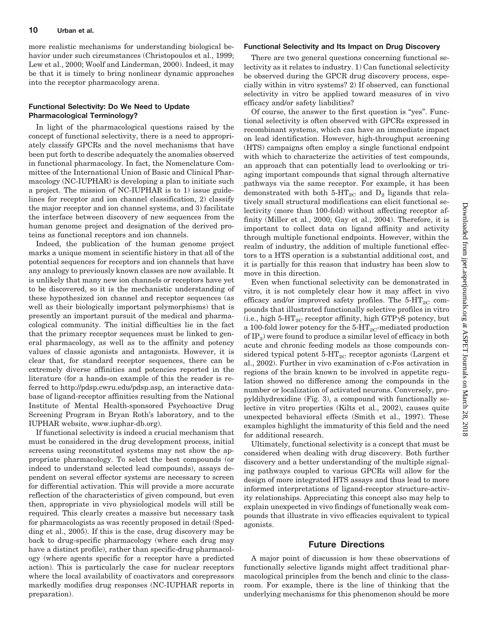more realistic mechanisms for understanding biological behavior under such circumstances (Christopoulos et al., 1999; Lew et al., 2000; Woolf and Linderman, 2000). Indeed, it may be that it is timely to bring nonlinear dynamic approaches into the receptor pharmacology arena.

## **Functional Selectivity: Do We Need to Update Pharmacological Terminology?**

In light of the pharmacological questions raised by the concept of functional selectivity, there is a need to appropriately classify GPCRs and the novel mechanisms that have been put forth to describe adequately the anomalies observed in functional pharmacology. In fact, the Nomenclature Committee of the International Union of Basic and Clinical Pharmacology (NC-IUPHAR) is developing a plan to initiate such a project. The mission of NC-IUPHAR is to 1) issue guidelines for receptor and ion channel classification, 2) classify the major receptor and ion channel systems, and 3) facilitate the interface between discovery of new sequences from the human genome project and designation of the derived proteins as functional receptors and ion channels.

Indeed, the publication of the human genome project marks a unique moment in scientific history in that all of the potential sequences for receptors and ion channels that have any analogy to previously known classes are now available. It is unlikely that many new ion channels or receptors have yet to be discovered, so it is the mechanistic understanding of these hypothesized ion channel and receptor sequences (as well as their biologically important polymorphisms) that is presently an important pursuit of the medical and pharmacological community. The initial difficulties lie in the fact that the primary receptor sequences must be linked to general pharmacology, as well as to the affinity and potency values of classic agonists and antagonists. However, it is clear that, for standard receptor sequences, there can be extremely diverse affinities and potencies reported in the literature (for a hands-on example of this the reader is referred to http://pdsp.cwru.edu/pdsp.asp, an interactive database of ligand-receptor affinities resulting from the National Institute of Mental Health-sponsored Psychoactive Drug Screening Program in Bryan Roth's laboratory, and to the IUPHAR website, www.iuphar-db.org).

If functional selectivity is indeed a crucial mechanism that must be considered in the drug development process, initial screens using reconstituted systems may not show the appropriate pharmacology. To select the best compounds (or indeed to understand selected lead compounds), assays dependent on several effector systems are necessary to screen for differential activation. This will provide a more accurate reflection of the characteristics of given compound, but even then, appropriate in vivo physiological models will still be required. This clearly creates a massive but necessary task for pharmacologists as was recently proposed in detail (Spedding et al., 2005). If this is the case, drug discovery may be back to drug-specific pharmacology (where each drug may have a distinct profile), rather than specific-drug pharmacology (where agents specific for a receptor have a predicted action). This is particularly the case for nuclear receptors where the local availability of coactivators and corepressors markedly modifies drug responses (NC-IUPHAR reports in preparation).

### **Functional Selectivity and Its Impact on Drug Discovery**

There are two general questions concerning functional selectivity as it relates to industry. 1) Can functional selectivity be observed during the GPCR drug discovery process, especially within in vitro systems? 2) If observed, can functional selectivity in vitro be applied toward measures of in vivo efficacy and/or safety liabilities?

Of course, the answer to the first question is "yes". Functional selectivity is often observed with GPCRs expressed in recombinant systems, which can have an immediate impact on lead identification. However, high-throughput screening (HTS) campaigns often employ a single functional endpoint with which to characterize the activities of test compounds, an approach that can potentially lead to overlooking or triaging important compounds that signal through alternative pathways via the same receptor. For example, it has been demonstrated with both 5-HT<sub>2C</sub> and  $D_2$  ligands that relatively small structural modifications can elicit functional selectivity (more than 100-fold) without affecting receptor affinity (Miller et al., 2000; Gay et al., 2004). Therefore, it is important to collect data on ligand affinity and activity through multiple functional endpoints. However, within the realm of industry, the addition of multiple functional effectors to a HTS operation is a substantial additional cost, and it is partially for this reason that industry has been slow to move in this direction.

Even when functional selectivity can be demonstrated in vitro, it is not completely clear how it may affect in vivo efficacy and/or improved safety profiles. The  $5-HT_{2C}$  compounds that illustrated functionally selective profiles in vitro (i.e., high  $5\text{-} \text{HT}_{\text{2C}}$  receptor affinity, high GTP $\gamma \text{S}$  potency, but a 100-fold lower potency for the  $5-HT_{2C}$ -mediated production of  $IP_3$ ) were found to produce a similar level of efficacy in both acute and chronic feeding models as those compounds considered typical potent  $5-HT_{2C}$  receptor agonists (Largent et al., 2002). Further in vivo examination of c-Fos activation in regions of the brain known to be involved in appetite regulation showed no difference among the compounds in the number or localization of activated neurons. Conversely, propyldihydrexidine (Fig. 3), a compound with functionally selective in vitro properties (Kilts et al., 2002), causes quite unexpected behavioral effects (Smith et al., 1997). These examples highlight the immaturity of this field and the need for additional research.

Ultimately, functional selectivity is a concept that must be considered when dealing with drug discovery. Both further discovery and a better understanding of the multiple signaling pathways coupled to various GPCRs will allow for the design of more integrated HTS assays and thus lead to more informed interpretations of ligand-receptor structure-activity relationships. Appreciating this concept also may help to explain unexpected in vivo findings of functionally weak compounds that illustrate in vivo efficacies equivalent to typical agonists.

## **Future Directions**

A major point of discussion is how these observations of functionally selective ligands might affect traditional pharmacological principles from the bench and clinic to the classroom. For example, there is the line of thinking that the underlying mechanisms for this phenomenon should be more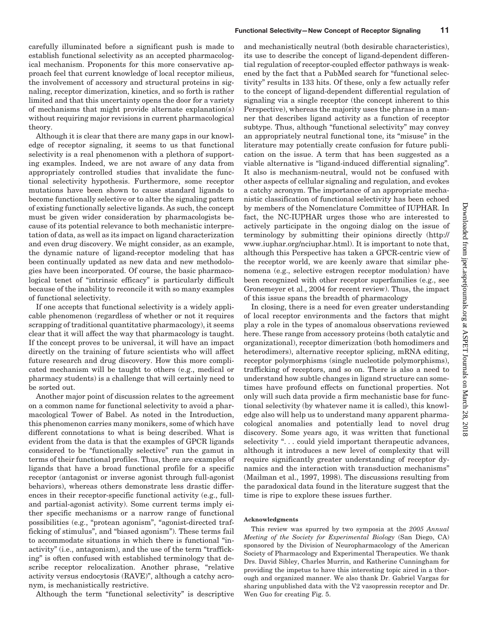carefully illuminated before a significant push is made to establish functional selectivity as an accepted pharmacological mechanism. Proponents for this more conservative approach feel that current knowledge of local receptor milieus, the involvement of accessory and structural proteins in signaling, receptor dimerization, kinetics, and so forth is rather limited and that this uncertainty opens the door for a variety of mechanisms that might provide alternate explanation(s) without requiring major revisions in current pharmacological theory.

Although it is clear that there are many gaps in our knowledge of receptor signaling, it seems to us that functional selectivity is a real phenomenon with a plethora of supporting examples. Indeed, we are not aware of any data from appropriately controlled studies that invalidate the functional selectivity hypothesis. Furthermore, some receptor mutations have been shown to cause standard ligands to become functionally selective or to alter the signaling pattern of existing functionally selective ligands. As such, the concept must be given wider consideration by pharmacologists because of its potential relevance to both mechanistic interpretation of data, as well as its impact on ligand characterization and even drug discovery. We might consider, as an example, the dynamic nature of ligand-receptor modeling that has been continually updated as new data and new methodologies have been incorporated. Of course, the basic pharmacological tenet of "intrinsic efficacy" is particularly difficult because of the inability to reconcile it with so many examples of functional selectivity.

If one accepts that functional selectivity is a widely applicable phenomenon (regardless of whether or not it requires scrapping of traditional quantitative pharmacology), it seems clear that it will affect the way that pharmacology is taught. If the concept proves to be universal, it will have an impact directly on the training of future scientists who will affect future research and drug discovery. How this more complicated mechanism will be taught to others (e.g., medical or pharmacy students) is a challenge that will certainly need to be sorted out.

Another major point of discussion relates to the agreement on a common name for functional selectivity to avoid a pharmacological Tower of Babel. As noted in the Introduction, this phenomenon carries many monikers, some of which have different connotations to what is being described. What is evident from the data is that the examples of GPCR ligands considered to be "functionally selective" run the gamut in terms of their functional profiles. Thus, there are examples of ligands that have a broad functional profile for a specific receptor (antagonist or inverse agonist through full-agonist behaviors), whereas others demonstrate less drastic differences in their receptor-specific functional activity (e.g., fulland partial-agonist activity). Some current terms imply either specific mechanisms or a narrow range of functional possibilities (e.g., "protean agonism", "agonist-directed trafficking of stimulus", and "biased agonism"). These terms fail to accommodate situations in which there is functional "inactivity" (i.e., antagonism), and the use of the term "trafficking" is often confused with established terminology that describe receptor relocalization. Another phrase, "relative activity versus endocytosis (RAVE)", although a catchy acronym, is mechanistically restrictive.

Although the term "functional selectivity" is descriptive

and mechanistically neutral (both desirable characteristics), its use to describe the concept of ligand-dependent differential regulation of receptor-coupled effector pathways is weakened by the fact that a PubMed search for "functional selectivity" results in 133 hits. Of these, only a few actually refer to the concept of ligand-dependent differential regulation of signaling via a single receptor (the concept inherent to this Perspective), whereas the majority uses the phrase in a manner that describes ligand activity as a function of receptor subtype. Thus, although "functional selectivity" may convey an appropriately neutral functional tone, its "misuse" in the literature may potentially create confusion for future publication on the issue. A term that has been suggested as a viable alternative is "ligand-induced differential signaling". It also is mechanism-neutral, would not be confused with other aspects of cellular signaling and regulation, and evokes a catchy acronym. The importance of an appropriate mechanistic classification of functional selectivity has been echoed by members of the Nomenclature Committee of IUPHAR. In fact, the NC-IUPHAR urges those who are interested to actively participate in the ongoing dialog on the issue of terminology by submitting their opinions directly (http:// www.iuphar.org/nciuphar.html). It is important to note that, although this Perspective has taken a GPCR-centric view of the receptor world, we are keenly aware that similar phenomena (e.g., selective estrogen receptor modulation) have been recognized with other receptor superfamilies (e.g., see Gronemeyer et al., 2004 for recent review). Thus, the impact of this issue spans the breadth of pharmacology

In closing, there is a need for even greater understanding of local receptor environments and the factors that might play a role in the types of anomalous observations reviewed here. These range from accessory proteins (both catalytic and organizational), receptor dimerization (both homodimers and heterodimers), alternative receptor splicing, mRNA editing, receptor polymorphisms (single nucleotide polymorphisms), trafficking of receptors, and so on. There is also a need to understand how subtle changes in ligand structure can sometimes have profound effects on functional properties. Not only will such data provide a firm mechanistic base for functional selectivity (by whatever name it is called), this knowledge also will help us to understand many apparent pharmacological anomalies and potentially lead to novel drug discovery. Some years ago, it was written that functional selectivity "... could yield important therapeutic advances, although it introduces a new level of complexity that will require significantly greater understanding of receptor dynamics and the interaction with transduction mechanisms" (Mailman et al., 1997, 1998). The discussions resulting from the paradoxical data found in the literature suggest that the time is ripe to explore these issues further.

#### **Acknowledgments**

This review was spurred by two symposia at the *2005 Annual Meeting of the Society for Experimental Biology* (San Diego, CA) sponsored by the Division of Neuropharmacology of the American Society of Pharmacology and Experimental Therapeutics. We thank Drs. David Sibley, Charles Murrin, and Katherine Cunningham for providing the impetus to have this interesting topic aired in a thorough and organized manner. We also thank Dr. Gabriel Vargas for sharing unpublished data with the V2 vasopressin receptor and Dr. Wen Guo for creating Fig. 5.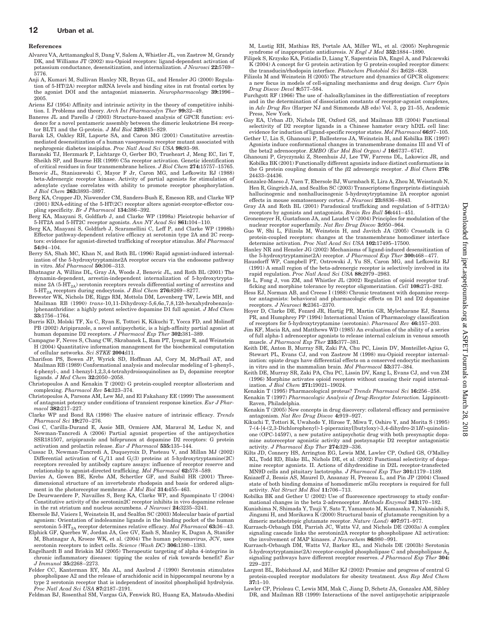#### **References**

- Alvarez VA, Arttamangkul S, Dang V, Salem A, Whistler JL, von Zastrow M, Grandy DK, and Williams JT (2002) mu-Opioid receptors: ligand-dependent activation of potassium conductance, desensitization, and internalization. *J Neurosci* **22:**5769 – 5776.
- Anji A, Kumari M, Sullivan Hanley NR, Bryan GL, and Hensler JG (2000) Regulation of 5-HT(2A) receptor mRNA levels and binding sites in rat frontal cortex by the agonist DOI and the antagonist mianserin. *Neuropharmacology* **39:**1996 – 2005.
- Ariens EJ (1954) Affinity and intrinsic activity in the theory of competitive inhibition. I. Problems and theory. *Arch Int Pharmacodyn Ther* **99:**32– 49.
- Baneres JL and Parello J (2003) Structure-based analysis of GPCR function: evidence for a novel pentameric assembly between the dimeric leukotriene B4 receptor BLT1 and the G-protein. *J Mol Biol* **329:**815– 829.
- Barak LS, Oakley RH, Laporte SA, and Caron MG (2001) Constitutive arrestinmediated desensitization of a human vasopressin receptor mutant associated with nephrogenic diabetes insipidus. *Proc Natl Acad Sci USA* **98:**93–98.
- Baranski TJ, Herzmark P, Lichtarge O, Gerber BO, Trueheart J, Meng EC, Iiri T, Sheikh SP, and Bourne HR (1999) C5a receptor activation. Genetic identification of critical residues in four transmembrane helices. *J Biol Chem* **274:**15757–15765.
- Benovic JL, Staniszewski C, Mayor F Jr, Caron MG, and Lefkowitz RJ (1988) beta-Adrenergic receptor kinase. Activity of partial agonists for stimulation of adenylate cyclase correlates with ability to promote receptor phosphorylation. *J Biol Chem* **263:**3893–3897.
- Berg KA, Cropper JD, Niswender CM, Sanders-Bush E, Emeson RB, and Clarke WP (2001) RNA-editing of the 5-HT(2C) receptor alters agonist-receptor-effector coupling specificity. *Br J Pharmacol* **134:**386 –392.
- Berg KA, Maayani S, Goldfarb J, and Clarke WP (1998a) Pleiotropic behavior of 5-HT2A and 5-HT2C receptor agonists. *Ann NY Acad Sci* **861:**104 –110.
- Berg KA, Maayani S, Goldfarb J, Scaramellini C, Leff P, and Clarke WP (1998b) Effector pathway-dependent relative efficacy at serotonin type 2A and 2C receptors: evidence for agonist-directed trafficking of receptor stimulus. *Mol Pharmacol* **54:**94 –104.
- Berry SA, Shah MC, Khan N, and Roth BL (1996) Rapid agonist-induced internalization of the 5-hydroxytryptamine2A receptor occurs via the endosome pathway in vitro. *Mol Pharmacol* **50:**306 –313.
- Bhatnagar A, Willins DL, Gray JA, Woods J, Benovic JL, and Roth BL (2001) The dynamin-dependent, arrestin-independent internalization of 5-hydroxytryptamine 2A (5-HT<sub>2A</sub>) serotonin receptors reveals differential sorting of arrestins and 5-HT2A receptors during endocytosis. *J Biol Chem* **276:**8269 – 8277.
- Brewster WK, Nichols DE, Riggs RM, Mottola DM, Lovenberg TW, Lewis MH, and Mailman RB (1990) *trans*-10,11-Dihydroxy-5,6,6*a*,7,8,12*b*-hexahydrobenzo[*a-* ]phenanthridine: a highly potent selective dopamine D1 full agonist. *J Med Chem* **33:**1756 –1764.
- Burris KD, Molski TF, Xu C, Ryan E, Tottori K, Kikuchi T, Yocca FD, and Molinoff PB (2002) Aripiprazole, a novel antipsychotic, is a high-affinity partial agonist at human dopamine D2 receptors. *J Pharmacol Exp Ther* **302:**381–389.
- Campagne F, Neves S, Chang CW, Skrabanek L, Ram PT, Iyengar R, and Weinstein H (2004) Quantitative information management for the biochemical computation of cellular networks. *Sci STKE* **2004:**l11.
- Charifson PS, Bowen JP, Wyrick SD, Hoffman AJ, Cory M, McPhail AT, and Mailman RB (1989) Conformational analysis and molecular modeling of 1-phenyl-, 4-phenyl-, and 1-benzyl-1,2,3,4-tetrahydroisoquinolines as  $D_1$  dopamine receptor ligands. *J Med Chem* **32:**2050 –2058.
- Christopoulos A and Kenakin T (2002) G protein-coupled receptor allosterism and complexing. *Pharmacol Rev* **54:**323–374.
- Christopoulos A, Parsons AM, Lew MJ, and El Fakahany EE (1999) The assessment of antagonist potency under conditions of transient response kinetics. *Eur J Pharmacol* **382:**217–227.
- Clarke WP and Bond RA (1998) The elusive nature of intrinsic efficacy. *Trends Pharmacol Sci* **19:**270 –276.
- Cosi C, Carilla-Durand E, Assie MB, Ormiere AM, Maraval M, Leduc N, and Newman-Tancredi A (2006) Partial agonist properties of the antipsychotics SSR181507, aripiprazole and bifeprunox at dopamine D2 receptors: G protein activation and prolactin release. *Eur J Pharmacol* **535:**135–144.
- Cussac D, Newman-Tancredi A, Duqueyroix D, Pasteau V, and Millan MJ (2002) Differential activation of  $G_q/11$  and  $G_i(3)$  proteins at 5-hydroxytryptamine(2C) receptors revealed by antibody capture assays: influence of receptor reserve and relationship to agonist-directed trafficking. *Mol Pharmacol* **62:**578 –589.
- Davies A, Gowen BE, Krebs AM, Schertler GF, and Saibil HR (2001) Threedimensional structure of an invertebrate rhodopsin and basis for ordered alignment in the photoreceptor membrane. *J Mol Biol* **314:**455– 463.
- De Deurwaerdere P, Navailles S, Berg KA, Clarke WP, and Spampinato U (2004) Constitutive activity of the serotonin2C receptor inhibits in vivo dopamine release in the rat striatum and nucleus accumbens. *J Neurosci* **24:**3235–3241.
- Ebersole BJ, Visiers I, Weinstein H, and Sealfon SC (2003) Molecular basis of partial agonism: Orientation of indoleamine ligands in the binding pocket of the human serotonin 5-HT2A receptor determines relative efficacy. *Mol Pharmacol* **63:**36 – 43.
- Elphick GF, Querbes W, Jordan JA, Gee GV, Eash S, Manley K, Dugan A, Stanifer M, Bhatnagar A, Kroeze WK, et al. (2004) The human polyomavirus, JCV, uses serotonin receptors to infect cells. *Science (Wash DC)* **306:**1380 –1383.
- Engelhardt B and Briskin MJ (2005) Therapeutic targeting of alpha 4-integrins in chronic inflammatory diseases: tipping the scales of risk towards benefit? *Eur J Immunol* **35:**2268 –2273.
- Felder CC, Kanterman RY, Ma AL, and Axelrod J (1990) Serotonin stimulates phospholipase A2 and the release of arachidonic acid in hippocampal neurons by a type 2 serotonin receptor that is independent of inositol phospholipid hydrolysis. *Proc Natl Acad Sci USA* **87:**2187–2191.
- Feldman BJ, Rosenthal SM, Vargas GA, Fenwick RG, Huang EA, Matsuda-Abedini
- M, Lustig RH, Mathias RS, Portale AA, Miller WL, et al. (2005) Nephrogenic syndrome of inappropriate antidiuresis. *N Engl J Med* **352:**1884 –1890.
- Filipek S, Krzysko KA, Fotiadis D, Liang Y, Saperstein DA, Engel A, and Palczewski K (2004) A concept for G protein activation by G protein-coupled receptor dimers: the transducin/rhodopsin interface. *Photochem Photobiol Sci* **3:**628 – 638.
- Filizola M and Weinstein H (2005) The structure and dynamics of GPCR oligomers: a new focus in models of cell-signaling mechanisms and drug design. *Curr Opin Drug Discov Devel* **8:**577–584.
- Furchgott RF (1966) The use of -haloalkylamines in the differentiation of receptors and in the determination of dissociation constants of receptor-agonist complexes, in *Adv Drug Res* (Harper NJ and Simmonds AB eds) Vol. 3, pp 21–55, Academic Press, New York.
- Gay EA, Urban JD, Nichols DE, Oxford GS, and Mailman RB (2004) Functional selectivity of D2 receptor ligands in a Chinese hamster ovary hD2L cell line: evidence for induction of ligand-specific receptor states. *Mol Pharmacol* **66:**97–105.
- Gether U, Lin S, Ghanouni P, Ballesteros JA, Weinstein H, and Kobilka BK (1997) Agonists induce conformational changes in transmembrane domains III and VI of the beta2 adrenoceptor. *EMBO (Eur Mol Biol Organ) J* **16:**6737– 6747.
- Ghanouni P, Gryczynski Z, Steenhuis JJ, Lee TW, Farrens DL, Lakowicz JR, and Kobilka BK (2001) Functionally different agonists induce distinct conformations in the G protein coupling domain of the β2 adrenergic receptor. *J Biol Chem* 276: 24433–24436.
- Gonzalez-Maeso J, Yuen T, Ebersole BJ, Wurmbach E, Lira A, Zhou M, Weisstaub N, Hen R, Gingrich JA, and Sealfon SC (2003) Transcriptome fingerprints distinguish hallucinogenic and nonhallucinogenic 5-hydroxytryptamine 2A receptor agonist effects in mouse somatosensory cortex. *J Neurosci* **23:**8836 – 8843.
- Gray JA and Roth BL (2001) Paradoxical trafficking and regulation of 5-HT(2A) receptors by agonists and antagonists. *Brain Res Bull* **56:**441– 451.
- Gronemeyer H, Gustafsson JA, and Laudet V (2004) Principles for modulation of the nuclear receptor superfamily. *Nat Rev Drug Discov* **3:**950 –964.
- Guo W, Shi L, Filizola M, Weinstein H, and Javitch JA (2005) Crosstalk in G protein-coupled receptors: changes at the transmembrane homodimer interface determine activation. *Proc Natl Acad Sci USA* **102:**17495–17500.
- Hanley NR and Hensler JG (2002) Mechanisms of ligand-induced desensitization of the 5-hydroxytryptamine(2A) receptor. *J Pharmacol Exp Ther* **300:**468 – 477.
- Hausdorff WP, Campbell PT, Ostrowski J, Yu SS, Caron MG, and Lefkowitz RJ (1991) A small region of the beta-adrenergic receptor is selectively involved in its rapid regulation. *Proc Natl Acad Sci USA* **88:**2979 –2983.
- He L, Fong J, von ZM, and Whistler JL (2002) Regulation of opioid receptor trafficking and morphine tolerance by receptor oligomerization. *Cell* **108:**271–282.
- Hess EJ, Norman AB, and Creese I (1988) Chronic treatment with dopamine receptor antagonists: behavioral and pharmacologic effects on D1 and D2 dopamine receptors. *J Neurosci* **8:**2361–2370.
- Hoyer D, Clarke DE, Fozard JR, Hartig PR, Martin GR, Mylecharane EJ, Saxena PR, and Humphrey PP (1994) International Union of Pharmacology classification of receptors for 5-hydroxytryptamine (serotonin). *Pharmacol Rev* **46:**157–203.
- Jim KF, Macia RA, and Matthews WD (1985) An evaluation of the ability of a series of full alpha-1 adrenoceptor agonists to release internal calcium in venous smooth muscle. *J Pharmacol Exp Ther* **235:**377–381.
- Keith DE, Anton B, Murray SR, Zaki PA, Chu PC, Lissin DV, Monteillet-Agius G, Stewart PL, Evans CJ, and von Zastrow M (1998) mu-Opioid receptor internalization: opiate drugs have differential effects on a conserved endocytic mechanism in vitro and in the mammalian brain. *Mol Pharmacol* **53:**377–384.
- Keith DE, Murray SR, Zaki PA, Chu PC, Lissin DV, Kang L, Evans CJ, and von ZM (1996) Morphine activates opioid receptors without causing their rapid internalization. *J Biol Chem* **271:**19021–19024.
- Kenakin T (1995) Pharmacological proteus? *Trends Pharmacol Sci* **16:**256 –258.
- Kenakin T (1997) *Pharmacologic Analysis of Drug-Receptor Interaction.* Lippincott-Raven, Philadelphia.
- Kenakin T (2005) New concepts in drug discovery: collateral efficacy and permissive antagonism. *Nat Rev Drug Discov* **4:**919 –927.
- Kikuchi T, Tottori K, Uwahodo Y, Hirose T, Miwa T, Oshiro Y, and Morita S (1995) 7-(4-[4-(2,3-Dichlorophenyl)-1-piperazinyl]butyloxy)-3,4-dihydro-2(1*H*)-quinolinone (OPC-14597), a new putative antipsychotic drug with both presynaptic dopamine autoreceptor agonistic activity and postsynaptic D2 receptor antagonistic activity. *J Pharmacol Exp Ther* **274:**329 –336.
- Kilts JD, Connery HS, Arrington EG, Lewis MM, Lawler CP, Oxford GS, O'Malley KL, Todd RD, Blake BL, Nichols DE, et al. (2002) Functional selectivity of dopamine receptor agonists. II. Actions of dihydrexidine in D2L receptor-transfected MN9D cells and pituitary lactotrophs. *J Pharmacol Exp Ther* **301:**1179 –1189.
- Kniazeff J, Bessis AS, Maurel D, Ansanay H, Prezeau L, and Pin JP (2004) Closed state of both binding domains of homodimeric mGlu receptors is required for full activity. *Nat Struct Mol Biol* **11:**706 –713.
- Kobilka BK and Gether U (2002) Use of fluorescence spectroscopy to study conformational changes in the beta 2-adrenoceptor. *Methods Enzymol* **343:**170 –182.
- Kunishima N, Shimada Y, Tsuji Y, Sato T, Yamamoto M, Kumasaka T, Nakanishi S, Jingami H, and Morikawa K (2000) Structural basis of glutamate recognition by a dimeric metabotropic glutamate receptor. *Nature (Lond)* **407:**971–977.
- Kurrasch-Orbaugh DM, Parrish JC, Watts VJ, and Nichols DE (2003a) A complex signaling cascade links the serotonin2A receptor to phospholipase A2 activation: the involvement of MAP kinases. *J Neurochem* **86:**980 –991.
- Kurrasch-Orbaugh DM, Watts VJ, Barker EL, and Nichols DE (2003b) Serotonin 5-hydroxytryptamine(2A) receptor-coupled phospholipase C and phospholipase  $A_2$ signaling pathways have different receptor reserves. *J Pharmacol Exp Ther* **304:** 229 –237.
- Largent BL, Robichaud AJ, and Miller KJ (2002) Promise and progress of central G protein-coupled receptor modulators for obesity treatment. *Ann Rep Med Chem* **37:**1–10.
- Lawler CP, Prioleau C, Lewis MM, Mak C, Jiang D, Schetz JA, Gonzalez AM, Sibley DR, and Mailman RB (1999) Interactions of the novel antipsychotic aripiprazole